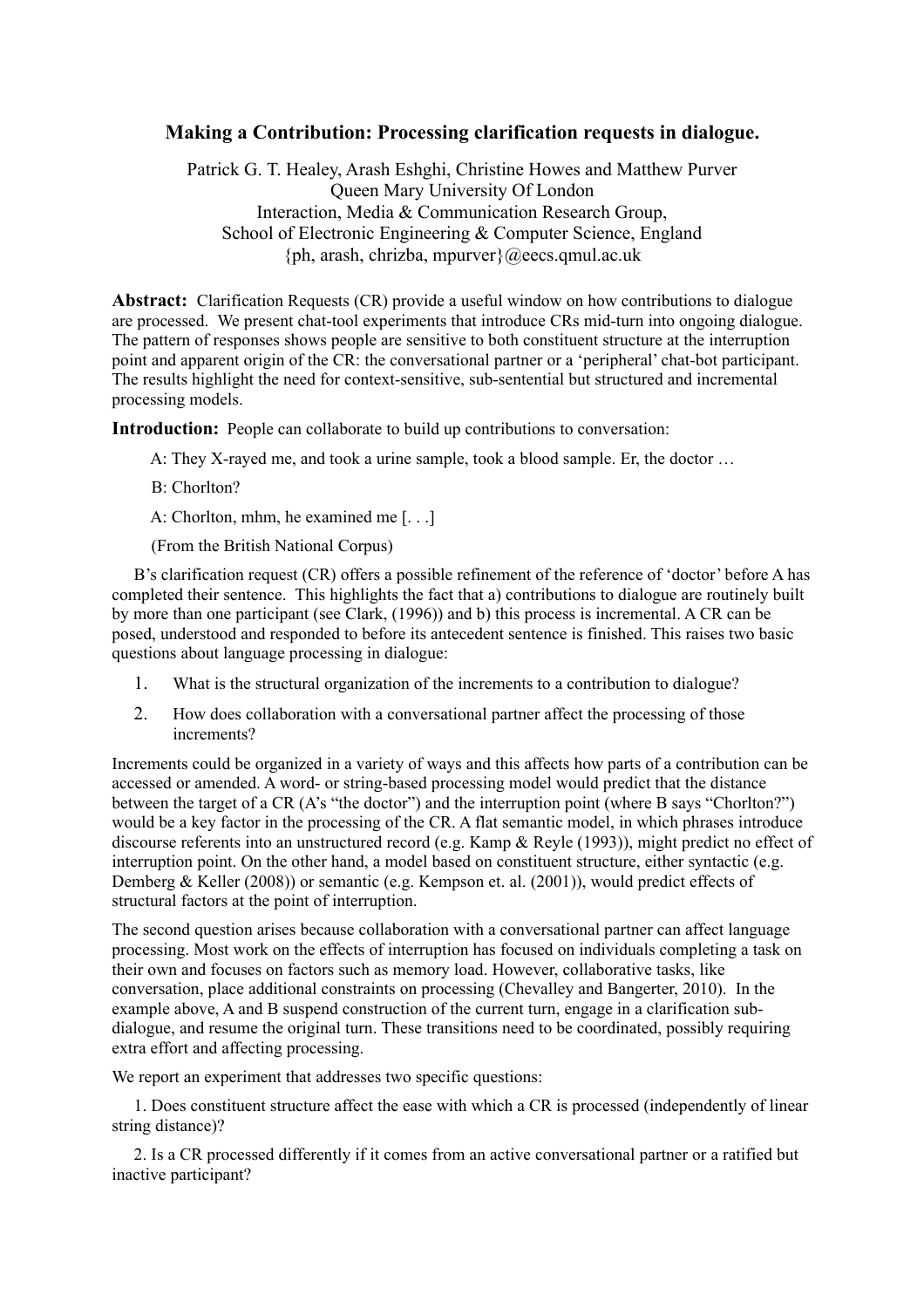# **Making a Contribution: Processing clarification requests in dialogue.**

Patrick G. T. Healey, Arash Eshghi, Christine Howes and Matthew Purver Queen Mary University Of London Interaction, Media & Communication Research Group, School of Electronic Engineering & Computer Science, England {ph, arash, chrizba, mpurver}@eecs.qmul.ac.uk

**Abstract:** Clarification Requests (CR) provide a useful window on how contributions to dialogue are processed. We present chat-tool experiments that introduce CRs mid-turn into ongoing dialogue. The pattern of responses shows people are sensitive to both constituent structure at the interruption point and apparent origin of the CR: the conversational partner or a 'peripheral' chat-bot participant. The results highlight the need for context-sensitive, sub-sentential but structured and incremental processing models.

**Introduction:** People can collaborate to build up contributions to conversation:

- A: They X-rayed me, and took a urine sample, took a blood sample. Er, the doctor …
- B: Chorlton?
- A: Chorlton, mhm, he examined me [. . .]

(From the British National Corpus)

B's clarification request (CR) offers a possible refinement of the reference of 'doctor' before A has completed their sentence. This highlights the fact that a) contributions to dialogue are routinely built by more than one participant (see Clark, (1996)) and b) this process is incremental. A CR can be posed, understood and responded to before its antecedent sentence is finished. This raises two basic questions about language processing in dialogue:

- 1. What is the structural organization of the increments to a contribution to dialogue?
- 2. How does collaboration with a conversational partner affect the processing of those increments?

Increments could be organized in a variety of ways and this affects how parts of a contribution can be accessed or amended. A word- or string-based processing model would predict that the distance between the target of a CR (A's "the doctor") and the interruption point (where B says "Chorlton?") would be a key factor in the processing of the CR. A flat semantic model, in which phrases introduce discourse referents into an unstructured record (e.g. Kamp & Reyle (1993)), might predict no effect of interruption point. On the other hand, a model based on constituent structure, either syntactic (e.g. Demberg & Keller (2008)) or semantic (e.g. Kempson et. al. (2001)), would predict effects of structural factors at the point of interruption.

The second question arises because collaboration with a conversational partner can affect language processing. Most work on the effects of interruption has focused on individuals completing a task on their own and focuses on factors such as memory load. However, collaborative tasks, like conversation, place additional constraints on processing (Chevalley and Bangerter, 2010). In the example above, A and B suspend construction of the current turn, engage in a clarification subdialogue, and resume the original turn. These transitions need to be coordinated, possibly requiring extra effort and affecting processing.

We report an experiment that addresses two specific questions:

1. Does constituent structure affect the ease with which a CR is processed (independently of linear string distance)?

2. Is a CR processed differently if it comes from an active conversational partner or a ratified but inactive participant?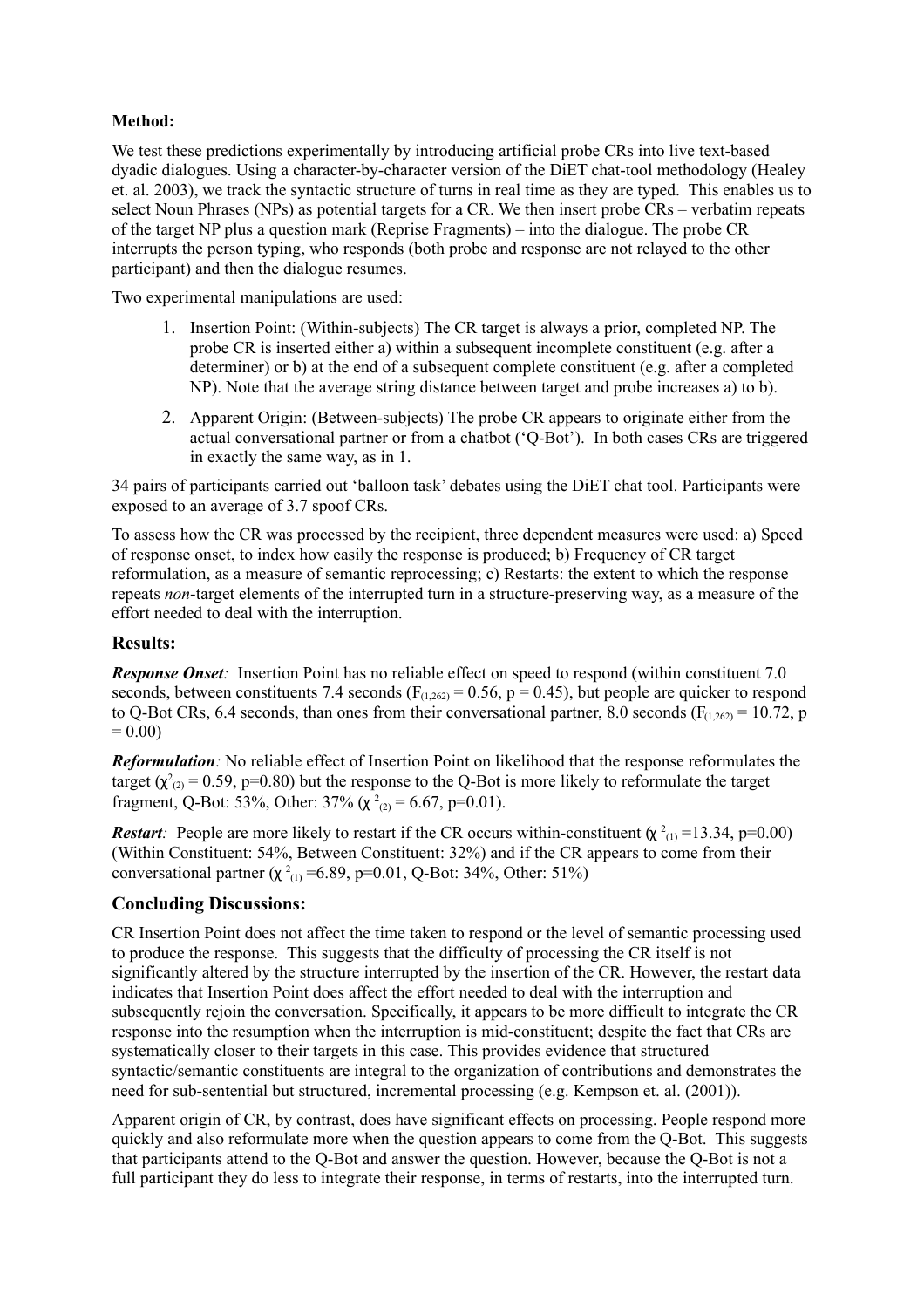## **Method:**

We test these predictions experimentally by introducing artificial probe CRs into live text-based dyadic dialogues. Using a character-by-character version of the DiET chat-tool methodology (Healey et. al. 2003), we track the syntactic structure of turns in real time as they are typed. This enables us to select Noun Phrases (NPs) as potential targets for a CR. We then insert probe CRs – verbatim repeats of the target NP plus a question mark (Reprise Fragments) – into the dialogue. The probe CR interrupts the person typing, who responds (both probe and response are not relayed to the other participant) and then the dialogue resumes.

Two experimental manipulations are used:

- 1. Insertion Point: (Within-subjects) The CR target is always a prior, completed NP. The probe CR is inserted either a) within a subsequent incomplete constituent (e.g. after a determiner) or b) at the end of a subsequent complete constituent (e.g. after a completed NP). Note that the average string distance between target and probe increases a) to b).
- 2. Apparent Origin: (Between-subjects) The probe CR appears to originate either from the actual conversational partner or from a chatbot ('Q-Bot'). In both cases CRs are triggered in exactly the same way, as in 1.

34 pairs of participants carried out 'balloon task' debates using the DiET chat tool. Participants were exposed to an average of 3.7 spoof CRs.

To assess how the CR was processed by the recipient, three dependent measures were used: a) Speed of response onset, to index how easily the response is produced; b) Frequency of CR target reformulation, as a measure of semantic reprocessing; c) Restarts: the extent to which the response repeats *non*-target elements of the interrupted turn in a structure-preserving way, as a measure of the effort needed to deal with the interruption.

### **Results:**

*Response Onset*: Insertion Point has no reliable effect on speed to respond (within constituent 7.0) seconds, between constituents 7.4 seconds ( $F_{(1,262)} = 0.56$ , p = 0.45), but people are quicker to respond to Q-Bot CRs, 6.4 seconds, than ones from their conversational partner, 8.0 seconds ( $F_{(1,262)} = 10.72$ , p  $= 0.00$ 

*Reformulation:* No reliable effect of Insertion Point on likelihood that the response reformulates the target ( $\chi^2_{(2)}$  = 0.59, p=0.80) but the response to the Q-Bot is more likely to reformulate the target fragment, Q-Bot: 53%, Other: 37% ( $\chi^2_{(2)} = 6.67$ , p=0.01).

*Restart:* People are more likely to restart if the CR occurs within-constituent  $(\chi^2_{(1)} = 13.34, p=0.00)$ (Within Constituent: 54%, Between Constituent: 32%) and if the CR appears to come from their conversational partner ( $\chi^2_{(1)}$  =6.89, p=0.01, Q-Bot: 34%, Other: 51%)

### **Concluding Discussions:**

CR Insertion Point does not affect the time taken to respond or the level of semantic processing used to produce the response. This suggests that the difficulty of processing the CR itself is not significantly altered by the structure interrupted by the insertion of the CR. However, the restart data indicates that Insertion Point does affect the effort needed to deal with the interruption and subsequently rejoin the conversation. Specifically, it appears to be more difficult to integrate the CR response into the resumption when the interruption is mid-constituent; despite the fact that CRs are systematically closer to their targets in this case. This provides evidence that structured syntactic/semantic constituents are integral to the organization of contributions and demonstrates the need for sub-sentential but structured, incremental processing (e.g. Kempson et. al. (2001)).

Apparent origin of CR, by contrast, does have significant effects on processing. People respond more quickly and also reformulate more when the question appears to come from the Q-Bot. This suggests that participants attend to the Q-Bot and answer the question. However, because the Q-Bot is not a full participant they do less to integrate their response, in terms of restarts, into the interrupted turn.